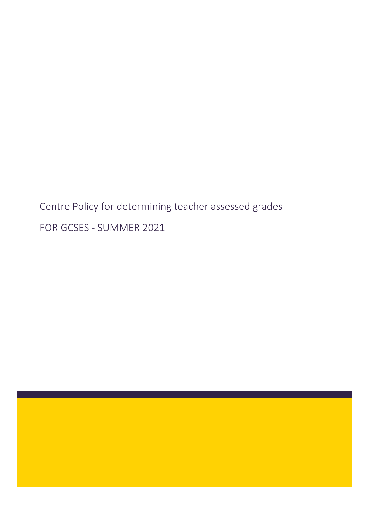Centre Policy for determining teacher assessed grades FOR GCSES - SUMMER 2021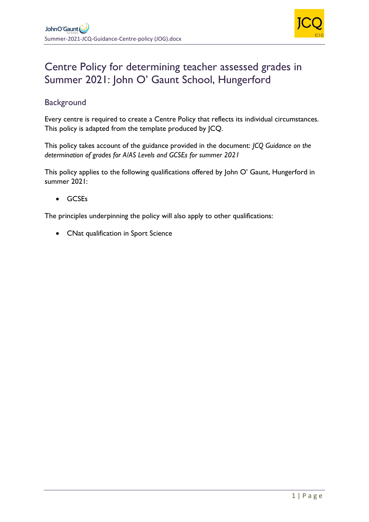

# Centre Policy for determining teacher assessed grades in Summer 2021: John O' Gaunt School, Hungerford

# **Background**

Every centre is required to create a Centre Policy that reflects its individual circumstances. This policy is adapted from the template produced by JCQ.

This policy takes account of the guidance provided in the document: *JCQ Guidance on the determination of grades for A/AS Levels and GCSEs for summer 2021*

This policy applies to the following qualifications offered by John O' Gaunt, Hungerford in summer 2021:

• GCSEs

The principles underpinning the policy will also apply to other qualifications:

• CNat qualification in Sport Science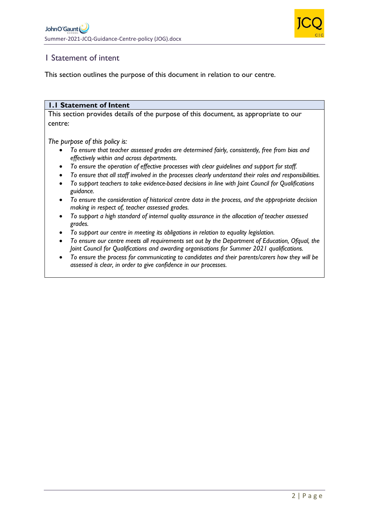

# 1 Statement of intent

This section outlines the purpose of this document in relation to our centre.

#### **1.1 Statement of Intent**

This section provides details of the purpose of this document, as appropriate to our centre:

*The purpose of this policy is:*

- *To ensure that teacher assessed grades are determined fairly, consistently, free from bias and effectively within and across departments.*
- *To ensure the operation of effective processes with clear guidelines and support for staff.*
- *To ensure that all staff involved in the processes clearly understand their roles and responsibilities.*
- *To support teachers to take evidence-based decisions in line with Joint Council for Qualifications guidance.*
- *To ensure the consideration of historical centre data in the process, and the appropriate decision making in respect of, teacher assessed grades.*
- *To support a high standard of internal quality assurance in the allocation of teacher assessed grades.*
- *To support our centre in meeting its obligations in relation to equality legislation.*
- *To ensure our centre meets all requirements set out by the Department of Education, Ofqual, the Joint Council for Qualifications and awarding organisations for Summer 2021 qualifications.*
- *To ensure the process for communicating to candidates and their parents/carers how they will be assessed is clear, in order to give confidence in our processes.*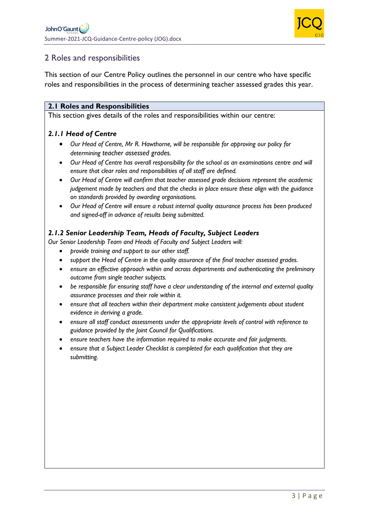

# 2 Roles and responsibilities

This section of our Centre Policy outlines the personnel in our centre who have specific roles and responsibilities in the process of determining teacher assessed grades this year.

#### **2.1 Roles and Responsibilities**

This section gives details of the roles and responsibilities within our centre:

### *2.1.1 Head of Centre*

- *Our Head of Centre, Mr R. Hawthorne, will be responsible for approving our policy for determining teacher assessed grades.*
- *Our Head of Centre has overall responsibility for the school as an examinations centre and will ensure that clear roles and responsibilities of all staff are defined.*
- *Our Head of Centre will confirm that teacher assessed grade decisions represent the academic judgement made by teachers and that the checks in place ensure these align with the guidance on standards provided by awarding organisations.*
- *Our Head of Centre will ensure a robust internal quality assurance process has been produced and signed-off in advance of results being submitted.*

### *2.1.2 Senior Leadership Team, Heads of Faculty, Subject Leaders*

*Our Senior Leadership Team and Heads of Faculty and Subject Leaders will:*

- *provide training and support to our other staff.*
- *support the Head of Centre in the quality assurance of the final teacher assessed grades.*
- *ensure an effective approach within and across departments and authenticating the preliminary outcome from single teacher subjects.*
- *be responsible for ensuring staff have a clear understanding of the internal and external quality assurance processes and their role within it.*
- *ensure that all teachers within their department make consistent judgements about student evidence in deriving a grade.*
- *ensure all staff conduct assessments under the appropriate levels of control with reference to guidance provided by the Joint Council for Qualifications.*
- *ensure teachers have the information required to make accurate and fair judgments.*
- *ensure that a Subject Leader Checklist is completed for each qualification that they are submitting.*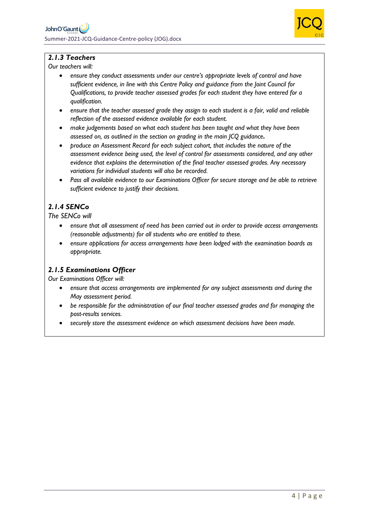

### *2.1.3 Teachers*

*Our teachers will:*

- *ensure they conduct assessments under our centre's appropriate levels of control and have sufficient evidence, in line with this Centre Policy and guidance from the Joint Council for Qualifications, to provide teacher assessed grades for each student they have entered for a qualification.*
- *ensure that the teacher assessed grade they assign to each student is a fair, valid and reliable reflection of the assessed evidence available for each student.*
- *make judgements based on what each student has been taught and what they have been assessed on, as outlined in the section on grading in the main JCQ guidance.*
- *produce an Assessment Record for each subject cohort, that includes the nature of the assessment evidence being used, the level of control for assessments considered, and any other evidence that explains the determination of the final teacher assessed grades. Any necessary variations for individual students will also be recorded.*
- *Pass all available evidence to our Examinations Officer for secure storage and be able to retrieve sufficient evidence to justify their decisions.*

### *2.1.4 SENCo*

*The SENCo will*

- *ensure that all assessment of need has been carried out in order to provide access arrangements (reasonable adjustments) for all students who are entitled to these.*
- *ensure applications for access arrangements have been lodged with the examination boards as appropriate.*

### *2.1.5 Examinations Officer*

*Our Examinations Officer will:*

- *ensure that access arrangements are implemented for any subject assessments and during the May assessment period.*
- *be responsible for the administration of our final teacher assessed grades and for managing the post-results services.*
- *securely store the assessment evidence on which assessment decisions have been made.*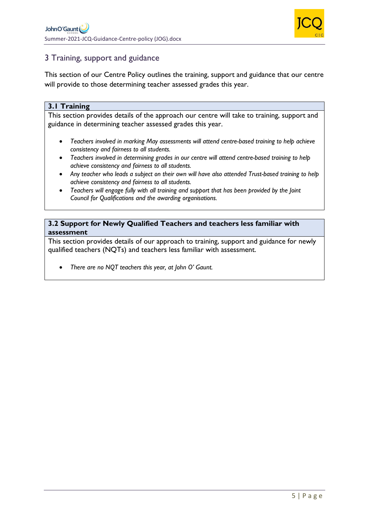

# 3 Training, support and guidance

This section of our Centre Policy outlines the training, support and guidance that our centre will provide to those determining teacher assessed grades this year.

#### **3.1 Training**

This section provides details of the approach our centre will take to training, support and guidance in determining teacher assessed grades this year.

- *Teachers involved in marking May assessments will attend centre-based training to help achieve consistency and fairness to all students.*
- *Teachers involved in determining grades in our centre will attend centre-based training to help achieve consistency and fairness to all students.*
- *Any teacher who leads a subject on their own will have also attended Trust-based training to help achieve consistency and fairness to all students.*
- *Teachers will engage fully with all training and support that has been provided by the Joint Council for Qualifications and the awarding organisations.*

#### **3.2 Support for Newly Qualified Teachers and teachers less familiar with assessment**

This section provides details of our approach to training, support and guidance for newly qualified teachers (NQTs) and teachers less familiar with assessment.

• *There are no NQT teachers this year, at John O' Gaunt.*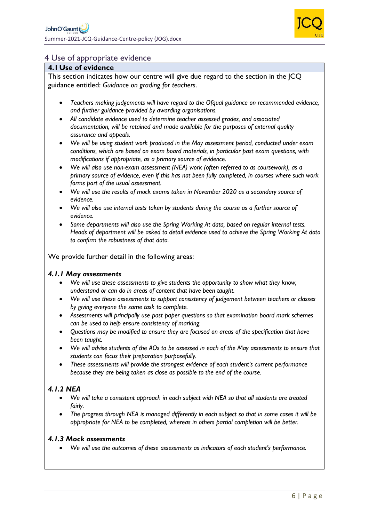

### 4 Use of appropriate evidence

#### **4.1Use of evidence**

This section indicates how our centre will give due regard to the section in the JCQ guidance entitled: *Guidance on grading for teachers*.

- *Teachers making judgements will have regard to the Ofqual guidance on recommended evidence, and further guidance provided by awarding organisations.*
- *All candidate evidence used to determine teacher assessed grades, and associated documentation, will be retained and made available for the purposes of external quality assurance and appeals.*
- *We will be using student work produced in the May assessment period, conducted under exam conditions, which are based on exam board materials, in particular past exam questions, with modifications if appropriate, as a primary source of evidence.*
- *We will also use non-exam assessment (NEA) work (often referred to as coursework), as a primary source of evidence, even if this has not been fully completed, in courses where such work forms part of the usual assessment.*
- *We will use the results of mock exams taken in November 2020 as a secondary source of evidence.*
- *We will also use internal tests taken by students during the course as a further source of evidence.*
- *Some departments will also use the Spring Working At data, based on regular internal tests. Heads of department will be asked to detail evidence used to achieve the Spring Working At data to confirm the robustness of that data.*

#### We provide further detail in the following areas:

#### *4.1.1 May assessments*

- *We will use these assessments to give students the opportunity to show what they know, understand or can do in areas of content that have been taught.*
- *We will use these assessments to support consistency of judgement between teachers or classes by giving everyone the same task to complete.*
- *Assessments will principally use past paper questions so that examination board mark schemes can be used to help ensure consistency of marking.*
- *Questions may be modified to ensure they are focused on areas of the specification that have been taught.*
- *We will advise students of the AOs to be assessed in each of the May assessments to ensure that students can focus their preparation purposefully.*
- *These assessments will provide the strongest evidence of each student's current performance because they are being taken as close as possible to the end of the course.*

## *4.1.2 NEA*

- *We will take a consistent approach in each subject with NEA so that all students are treated fairly.*
- *The progress through NEA is managed differently in each subject so that in some cases it will be appropriate for NEA to be completed, whereas in others partial completion will be better.*

#### *4.1.3 Mock assessments*

• *We will use the outcomes of these assessments as indicators of each student's performance.*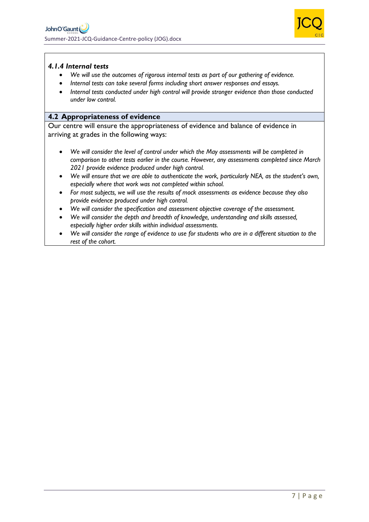

#### *4.1.4 Internal tests*

- *We will use the outcomes of rigorous internal tests as part of our gathering of evidence.*
- *Internal tests can take several forms including short answer responses and essays.*
- *Internal tests conducted under high control will provide stronger evidence than those conducted under low control.*

#### **4.2 Appropriateness of evidence**

Our centre will ensure the appropriateness of evidence and balance of evidence in arriving at grades in the following ways:

- *We will consider the level of control under which the May assessments will be completed in comparison to other tests earlier in the course. However, any assessments completed since March 2021 provide evidence produced under high control.*
- *We will ensure that we are able to authenticate the work, particularly NEA, as the student's own, especially where that work was not completed within school.*
- *For most subjects, we will use the results of mock assessments as evidence because they also provide evidence produced under high control.*
- *We will consider the specification and assessment objective coverage of the assessment.*
- *We will consider the depth and breadth of knowledge, understanding and skills assessed, especially higher order skills within individual assessments.*
- *We will consider the range of evidence to use for students who are in a different situation to the rest of the cohort.*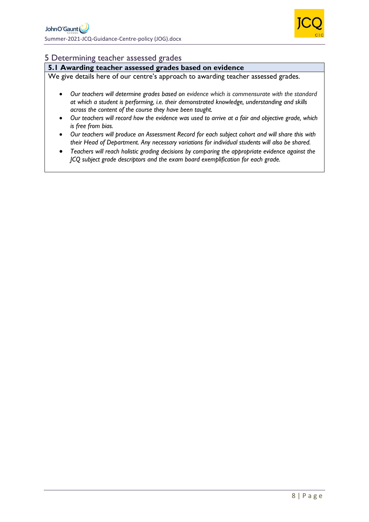

### 5 Determining teacher assessed grades

### **5.1 Awarding teacher assessed grades based on evidence**

We give details here of our centre's approach to awarding teacher assessed grades*.*

- *Our teachers will determine grades based on evidence which is commensurate with the standard at which a student is performing, i.e. their demonstrated knowledge, understanding and skills across the content of the course they have been taught.*
- *Our teachers will record how the evidence was used to arrive at a fair and objective grade, which is free from bias.*
- *Our teachers will produce an Assessment Record for each subject cohort and will share this with their Head of Department. Any necessary variations for individual students will also be shared.*
- *Teachers will reach holistic grading decisions by comparing the appropriate evidence against the JCQ subject grade descriptors and the exam board exemplification for each grade.*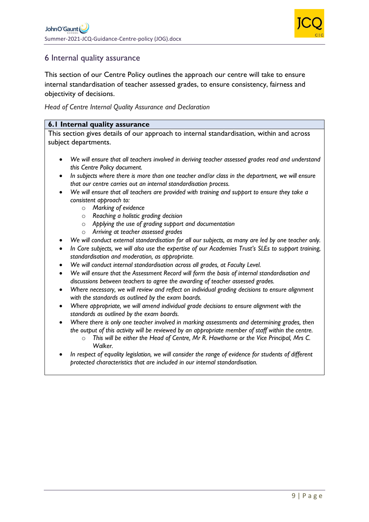

## 6 Internal quality assurance

This section of our Centre Policy outlines the approach our centre will take to ensure internal standardisation of teacher assessed grades, to ensure consistency, fairness and objectivity of decisions.

*Head of Centre Internal Quality Assurance and Declaration*

#### **6.1 Internal quality assurance**

This section gives details of our approach to internal standardisation, within and across subject departments.

- *We will ensure that all teachers involved in deriving teacher assessed grades read and understand this Centre Policy document.*
- *In subjects where there is more than one teacher and/or class in the department, we will ensure that our centre carries out an internal standardisation process.*
- *We will ensure that all teachers are provided with training and support to ensure they take a consistent approach to:*
	- o *Marking of evidence*
	- o *Reaching a holistic grading decision*
	- o *Applying the use of grading support and documentation*
	- o *Arriving at teacher assessed grades*
- *We will conduct external standardisation for all our subjects, as many are led by one teacher only.*
- *In Core subjects, we will also use the expertise of our Academies Trust's SLEs to support training, standardisation and moderation, as appropriate.*
- *We will conduct internal standardisation across all grades, at Faculty Level.*
- *We will ensure that the Assessment Record will form the basis of internal standardisation and discussions between teachers to agree the awarding of teacher assessed grades.*
- *Where necessary, we will review and reflect on individual grading decisions to ensure alignment with the standards as outlined by the exam boards.*
- *Where appropriate, we will amend individual grade decisions to ensure alignment with the standards as outlined by the exam boards.*
- *Where there is only one teacher involved in marking assessments and determining grades, then the output of this activity will be reviewed by an appropriate member of staff within the centre.*
	- o *This will be either the Head of Centre, Mr R. Hawthorne or the Vice Principal, Mrs C. Walker.*
- *In respect of equality legislation, we will consider the range of evidence for students of different protected characteristics that are included in our internal standardisation.*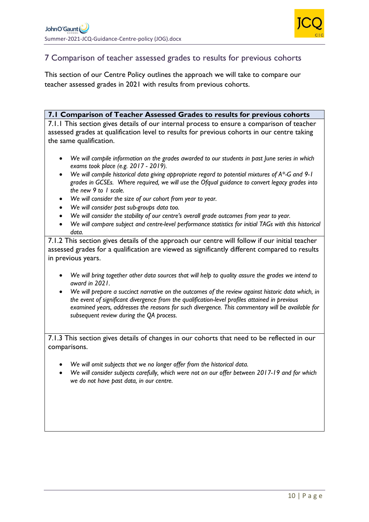

## 7 Comparison of teacher assessed grades to results for previous cohorts

This section of our Centre Policy outlines the approach we will take to compare our teacher assessed grades in 2021 with results from previous cohorts.

#### **7.1 Comparison of Teacher Assessed Grades to results for previous cohorts**

7.1.1 This section gives details of our internal process to ensure a comparison of teacher assessed grades at qualification level to results for previous cohorts in our centre taking the same qualification.

- *We will compile information on the grades awarded to our students in past June series in which exams took place (e.g. 2017 - 2019).*
- *We will compile historical data giving appropriate regard to potential mixtures of A\*-G and 9-1 grades in GCSEs. Where required, we will use the Ofqual guidance to convert legacy grades into the new 9 to 1 scale.*
- *We will consider the size of our cohort from year to year.*
- *We will consider past sub-groups data too.*
- *We will consider the stability of our centre's overall grade outcomes from year to year.*
- *We will compare subject and centre-level performance statistics for initial TAGs with this historical data.*

7.1.2 This section gives details of the approach our centre will follow if our initial teacher assessed grades for a qualification are viewed as significantly different compared to results in previous years.

- *We will bring together other data sources that will help to quality assure the grades we intend to award in 2021.*
- *We will prepare a succinct narrative on the outcomes of the review against historic data which, in the event of significant divergence from the qualification-level profiles attained in previous examined years, addresses the reasons for such divergence. This commentary will be available for subsequent review during the QA process.*

7.1.3 This section gives details of changes in our cohorts that need to be reflected in our comparisons.

- *We will omit subjects that we no longer offer from the historical data.*
- *We will consider subjects carefully, which were not on our offer between 2017-19 and for which we do not have past data, in our centre.*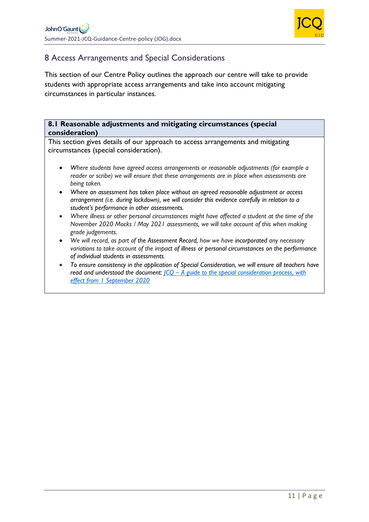

# 8 Access Arrangements and Special Considerations

This section of our Centre Policy outlines the approach our centre will take to provide students with appropriate access arrangements and take into account mitigating circumstances in particular instances.

#### **8.1 Reasonable adjustments and mitigating circumstances (special consideration)**

This section gives details of our approach to access arrangements and mitigating circumstances (special consideration).

- *Where students have agreed access arrangements or reasonable adjustments (for example a reader or scribe) we will ensure that these arrangements are in place when assessments are being taken.*
- *Where an assessment has taken place without an agreed reasonable adjustment or access arrangement (i.e. during lockdown), we will consider this evidence carefully in relation to a student's performance in other assessments.*
- *Where illness or other personal circumstances might have affected a student at the time of the November 2020 Mocks / May 2021 assessments, we will take account of this when making grade judgements.*
- *We will record, as part of the Assessment Record, how we have incorporated any necessary variations to take account of the impact of illness or personal circumstances on the performance of individual students in assessments.*
- *To ensure consistency in the application of Special Consideration, we will ensure all teachers have read and understood the document: JCQ – [A guide to the special consideration process, with](https://www.jcq.org.uk/wp-content/uploads/2020/08/A-guide-to-the-spec-con-process-202021-Website-version.pdf)  [effect from 1 September 2020](https://www.jcq.org.uk/wp-content/uploads/2020/08/A-guide-to-the-spec-con-process-202021-Website-version.pdf)*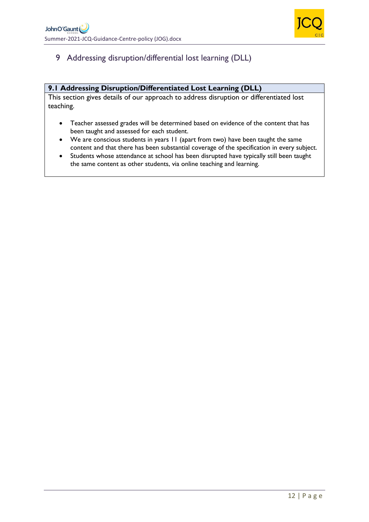

# 9 Addressing disruption/differential lost learning (DLL)

#### **9.1 Addressing Disruption/Differentiated Lost Learning (DLL)**

This section gives details of our approach to address disruption or differentiated lost teaching.

- Teacher assessed grades will be determined based on evidence of the content that has been taught and assessed for each student.
- We are conscious students in years 11 (apart from two) have been taught the same content and that there has been substantial coverage of the specification in every subject.
- Students whose attendance at school has been disrupted have typically still been taught the same content as other students, via online teaching and learning.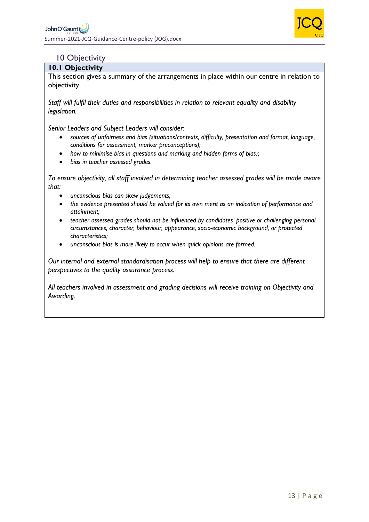

### 10 Objectivity

#### **10.1 Objectivity**

This section gives a summary of the arrangements in place within our centre in relation to objectivity.

*Staff will fulfil their duties and responsibilities in relation to relevant equality and disability legislation.*

*Senior Leaders and Subject Leaders will consider:*

- *sources of unfairness and bias (situations/contexts, difficulty, presentation and format, language, conditions for assessment, marker preconceptions);*
- *how to minimise bias in questions and marking and hidden forms of bias);*
- *bias in teacher assessed grades.*

*To ensure objectivity, all staff involved in determining teacher assessed grades will be made aware that:*

- *unconscious bias can skew judgements;*
- *the evidence presented should be valued for its own merit as an indication of performance and attainment;*
- *teacher assessed grades should not be influenced by candidates' positive or challenging personal circumstances, character, behaviour, appearance, socio-economic background, or protected characteristics;*
- *unconscious bias is more likely to occur when quick opinions are formed.*

*Our internal and external standardisation process will help to ensure that there are different perspectives to the quality assurance process.* 

*All teachers involved in assessment and grading decisions will receive training on Objectivity and Awarding.*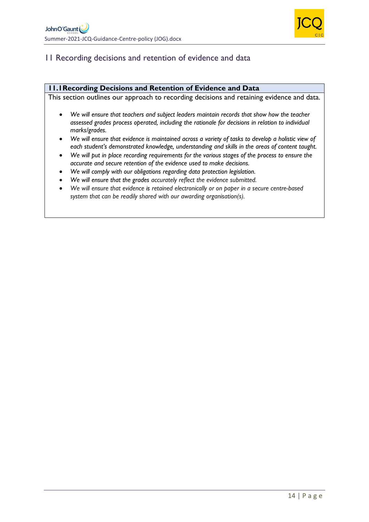

# 11 Recording decisions and retention of evidence and data

#### **11.1Recording Decisions and Retention of Evidence and Data**

This section outlines our approach to recording decisions and retaining evidence and data.

- *We will ensure that teachers and subject leaders maintain records that show how the teacher assessed grades process operated, including the rationale for decisions in relation to individual marks/grades.*
- *We will ensure that evidence is maintained across a variety of tasks to develop a holistic view of each student's demonstrated knowledge, understanding and skills in the areas of content taught.*
- *We will put in place recording requirements for the various stages of the process to ensure the accurate and secure retention of the evidence used to make decisions.*
- *We will comply with our obligations regarding data protection legislation.*
- *We will ensure that the grades accurately reflect the evidence submitted.*
- *We will ensure that evidence is retained electronically or on paper in a secure centre-based system that can be readily shared with our awarding organisation(s).*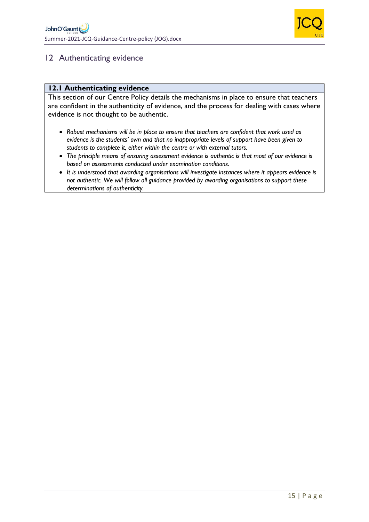

# 12 Authenticating evidence

#### **12.1 Authenticating evidence**

This section of our Centre Policy details the mechanisms in place to ensure that teachers are confident in the authenticity of evidence, and the process for dealing with cases where evidence is not thought to be authentic.

- *Robust mechanisms will be in place to ensure that teachers are confident that work used as evidence is the students' own and that no inappropriate levels of support have been given to students to complete it, either within the centre or with external tutors.*
- *The principle means of ensuring assessment evidence is authentic is that most of our evidence is based on assessments conducted under examination conditions.*
- *It is understood that awarding organisations will investigate instances where it appears evidence is not authentic. We will follow all guidance provided by awarding organisations to support these determinations of authenticity.*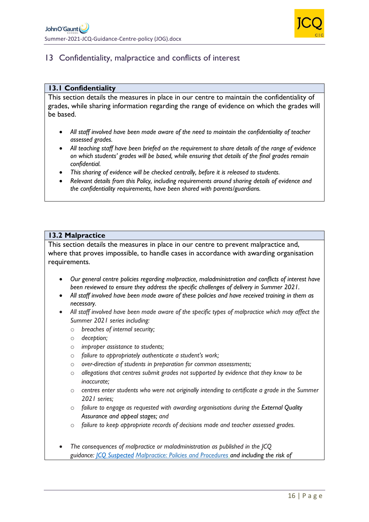

# 13 Confidentiality, malpractice and conflicts of interest

#### **13.1 Confidentiality**

This section details the measures in place in our centre to maintain the confidentiality of grades, while sharing information regarding the range of evidence on which the grades will be based.

- *All staff involved have been made aware of the need to maintain the confidentiality of teacher assessed grades.*
- *All teaching staff have been briefed on the requirement to share details of the range of evidence on which students' grades will be based, while ensuring that details of the final grades remain confidential.*
- *This sharing of evidence will be checked centrally, before it is released to students.*
- *Relevant details from this Policy, including requirements around sharing details of evidence and the confidentiality requirements, have been shared with parents/guardians.*

#### **13.2 Malpractice**

This section details the measures in place in our centre to prevent malpractice and, where that proves impossible, to handle cases in accordance with awarding organisation requirements.

- *Our general centre policies regarding malpractice, maladministration and conflicts of interest have been reviewed to ensure they address the specific challenges of delivery in Summer 2021.*
- *All staff involved have been made aware of these policies and have received training in them as necessary.*
- *All staff involved have been made aware of the specific types of malpractice which may affect the Summer 2021 series including:*
	- o *breaches of internal security;*
	- o *deception;*
	- o *improper assistance to students;*
	- o *failure to appropriately authenticate a student's work;*
	- o *over-direction of students in preparation for common assessments;*
	- o *allegations that centres submit grades not supported by evidence that they know to be inaccurate;*
	- o *centres enter students who were not originally intending to certificate a grade in the Summer 2021 series;*
	- o *failure to engage as requested with awarding organisations during the External Quality Assurance and appeal stages; and*
	- o *failure to keep appropriate records of decisions made and teacher assessed grades.*
- *The consequences of malpractice or maladministration as published in the JCQ guidance: [JCQ Suspected](https://www.jcq.org.uk/exams-office/malpractice/jcq-suspected-malpractice-policies-and-procedures-2019-2020) Malpractice: Policies and Procedures and including the risk of*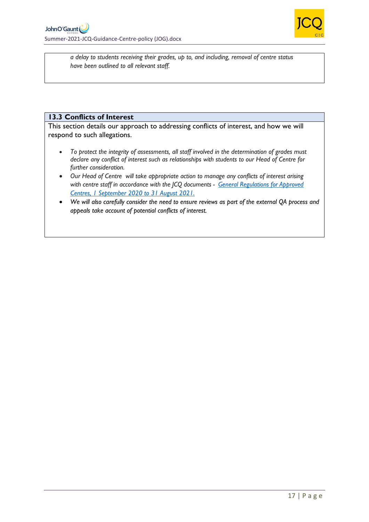

*a delay to students receiving their grades, up to, and including, removal of centre status have been outlined to all relevant staff.* 

#### **13.3 Conflicts of Interest**

This section details our approach to addressing conflicts of interest, and how we will respond to such allegations.

- *To protect the integrity of assessments, all staff involved in the determination of grades must declare any conflict of interest such as relationships with students to our Head of Centre for further consideration.*
- *Our Head of Centre will take appropriate action to manage any conflicts of interest arising with centre staff in accordance with the JCQ documents - [General Regulations for Approved](https://www.jcq.org.uk/wp-content/uploads/2020/09/Gen_regs_approved_centres_20-21_FINAL.pdf)  [Centres, 1 September 2020 to 31 August 2021.](https://www.jcq.org.uk/wp-content/uploads/2020/09/Gen_regs_approved_centres_20-21_FINAL.pdf)*
- *We will also carefully consider the need to ensure reviews as part of the external QA process and appeals take account of potential conflicts of interest.*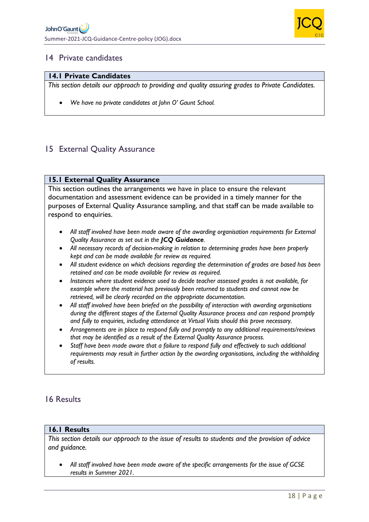

### 14 Private candidates

#### **14.1 Private Candidates**

*This section details our approach to providing and quality assuring grades to Private Candidates.* 

• *We have no private candidates at John O' Gaunt School.*

## 15 External Quality Assurance

#### **15.1 External Quality Assurance**

This section outlines the arrangements we have in place to ensure the relevant documentation and assessment evidence can be provided in a timely manner for the purposes of External Quality Assurance sampling, and that staff can be made available to respond to enquiries.

- *All staff involved have been made aware of the awarding organisation requirements for External Quality Assurance as set out in the JCQ Guidance.*
- *All necessary records of decision-making in relation to determining grades have been properly kept and can be made available for review as required.*
- *All student evidence on which decisions regarding the determination of grades are based has been retained and can be made available for review as required.*
- *Instances where student evidence used to decide teacher assessed grades is not available, for example where the material has previously been returned to students and cannot now be retrieved, will be clearly recorded on the appropriate documentation.*
- *All staff involved have been briefed on the possibility of interaction with awarding organisations during the different stages of the External Quality Assurance process and can respond promptly and fully to enquiries, including attendance at Virtual Visits should this prove necessary.*
- *Arrangements are in place to respond fully and promptly to any additional requirements/reviews that may be identified as a result of the External Quality Assurance process.*
- *Staff have been made aware that a failure to respond fully and effectively to such additional requirements may result in further action by the awarding organisations, including the withholding of results.*

### 16 Results

#### **16.1 Results**

*This section details our approach to the issue of results to students and the provision of advice and guidance.* 

• *All staff involved have been made aware of the specific arrangements for the issue of GCSE results in Summer 2021.*